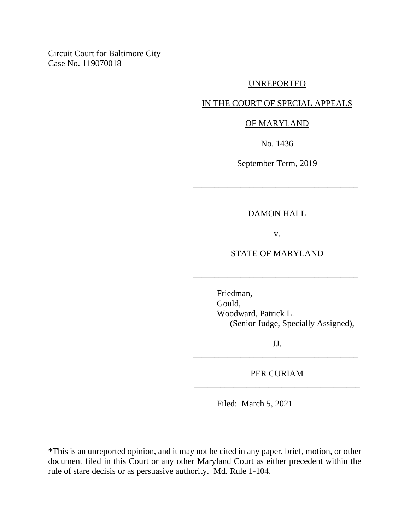Circuit Court for Baltimore City Case No. 119070018

#### UNREPORTED

# IN THE COURT OF SPECIAL APPEALS

### OF MARYLAND

No. 1436

September Term, 2019

\_\_\_\_\_\_\_\_\_\_\_\_\_\_\_\_\_\_\_\_\_\_\_\_\_\_\_\_\_\_\_\_\_\_\_\_\_\_

### DAMON HALL

v.

## STATE OF MARYLAND

\_\_\_\_\_\_\_\_\_\_\_\_\_\_\_\_\_\_\_\_\_\_\_\_\_\_\_\_\_\_\_\_\_\_\_\_\_\_

Friedman, Gould, Woodward, Patrick L. (Senior Judge, Specially Assigned),

JJ. \_\_\_\_\_\_\_\_\_\_\_\_\_\_\_\_\_\_\_\_\_\_\_\_\_\_\_\_\_\_\_\_\_\_\_\_\_\_

PER CURIAM \_\_\_\_\_\_\_\_\_\_\_\_\_\_\_\_\_\_\_\_\_\_\_\_\_\_\_\_\_\_\_\_\_\_\_\_\_\_

Filed: March 5, 2021

\*This is an unreported opinion, and it may not be cited in any paper, brief, motion, or other document filed in this Court or any other Maryland Court as either precedent within the rule of stare decisis or as persuasive authority. Md. Rule 1-104.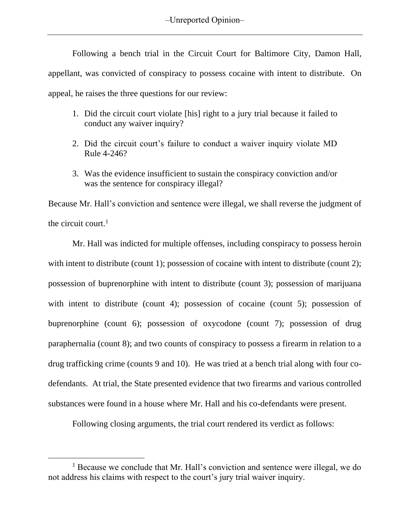Following a bench trial in the Circuit Court for Baltimore City, Damon Hall, appellant, was convicted of conspiracy to possess cocaine with intent to distribute. On appeal, he raises the three questions for our review:

- 1. Did the circuit court violate [his] right to a jury trial because it failed to conduct any waiver inquiry?
- 2. Did the circuit court's failure to conduct a waiver inquiry violate MD Rule 4-246?
- 3. Was the evidence insufficient to sustain the conspiracy conviction and/or was the sentence for conspiracy illegal?

Because Mr. Hall's conviction and sentence were illegal, we shall reverse the judgment of the circuit court. $<sup>1</sup>$ </sup>

Mr. Hall was indicted for multiple offenses, including conspiracy to possess heroin with intent to distribute (count 1); possession of cocaine with intent to distribute (count 2); possession of buprenorphine with intent to distribute (count 3); possession of marijuana with intent to distribute (count 4); possession of cocaine (count 5); possession of buprenorphine (count 6); possession of oxycodone (count 7); possession of drug paraphernalia (count 8); and two counts of conspiracy to possess a firearm in relation to a drug trafficking crime (counts 9 and 10). He was tried at a bench trial along with four codefendants. At trial, the State presented evidence that two firearms and various controlled substances were found in a house where Mr. Hall and his co-defendants were present.

Following closing arguments, the trial court rendered its verdict as follows:

<sup>&</sup>lt;sup>1</sup> Because we conclude that Mr. Hall's conviction and sentence were illegal, we do not address his claims with respect to the court's jury trial waiver inquiry.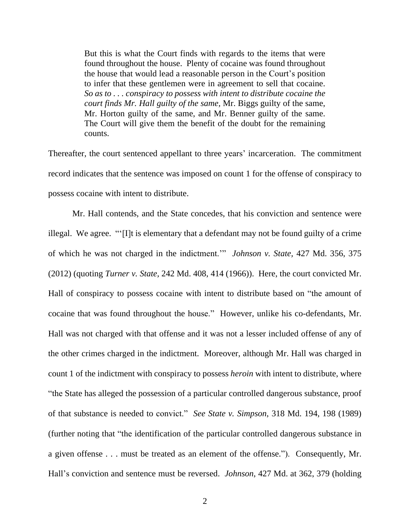But this is what the Court finds with regards to the items that were found throughout the house. Plenty of cocaine was found throughout the house that would lead a reasonable person in the Court's position to infer that these gentlemen were in agreement to sell that cocaine. *So as to . . . conspiracy to possess with intent to distribute cocaine the court finds Mr. Hall guilty of the same,* Mr. Biggs guilty of the same, Mr. Horton guilty of the same, and Mr. Benner guilty of the same. The Court will give them the benefit of the doubt for the remaining counts.

Thereafter, the court sentenced appellant to three years' incarceration. The commitment record indicates that the sentence was imposed on count 1 for the offense of conspiracy to possess cocaine with intent to distribute.

Mr. Hall contends, and the State concedes, that his conviction and sentence were illegal. We agree. "'[I]t is elementary that a defendant may not be found guilty of a crime of which he was not charged in the indictment.'" *[Johnson](https://1.next.westlaw.com/Link/Document/FullText?findType=Y&serNum=2028163896&pubNum=0000536&originatingDoc=I4776e0fe650a11e6b86bd602cb8781fa&refType=RP&fi=co_pp_sp_536_375&originationContext=document&transitionType=DocumentItem&contextData=(sc.Keycite)#co_pp_sp_536_375) v. State,* 427 Md. 356, 375 [\(2012\)](https://1.next.westlaw.com/Link/Document/FullText?findType=Y&serNum=2028163896&pubNum=0000536&originatingDoc=I4776e0fe650a11e6b86bd602cb8781fa&refType=RP&fi=co_pp_sp_536_375&originationContext=document&transitionType=DocumentItem&contextData=(sc.Keycite)#co_pp_sp_536_375) (quoting *Turner v. State,* 242 Md. 408, 414 [\(1966\)\)](https://1.next.westlaw.com/Link/Document/FullText?findType=Y&serNum=1966115344&pubNum=0000536&originatingDoc=I4776e0fe650a11e6b86bd602cb8781fa&refType=RP&fi=co_pp_sp_536_414&originationContext=document&transitionType=DocumentItem&contextData=(sc.Keycite)#co_pp_sp_536_414). Here, the court convicted Mr. Hall of conspiracy to possess cocaine with intent to distribute based on "the amount of cocaine that was found throughout the house." However, unlike his co-defendants, Mr. Hall was not charged with that offense and it was not a lesser included offense of any of the other crimes charged in the indictment. Moreover, although Mr. Hall was charged in count 1 of the indictment with conspiracy to possess *heroin* with intent to distribute, where "the State has alleged the possession of a particular controlled dangerous substance, proof of that substance is needed to convict." *See State v. Simpson*, 318 Md. 194, 198 (1989) (further noting that "the identification of the particular controlled dangerous substance in a given offense . . . must be treated as an element of the offense."). Consequently, Mr. Hall's conviction and sentence must be reversed. *Johnson*, 427 Md. at 362, 379 (holding